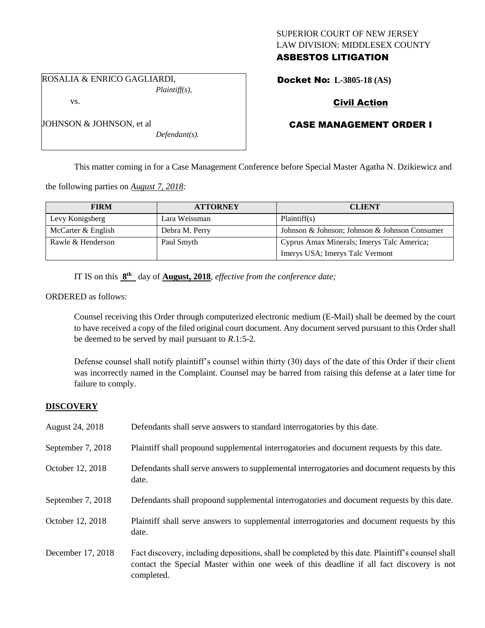## SUPERIOR COURT OF NEW JERSEY LAW DIVISION: MIDDLESEX COUNTY ASBESTOS LITIGATION

ROSALIA & ENRICO GAGLIARDI, *Plaintiff(s),*

vs.

JOHNSON & JOHNSON, et al

## Docket No: **L-3805-18 (AS)**

## Civil Action

## CASE MANAGEMENT ORDER I

This matter coming in for a Case Management Conference before Special Master Agatha N. Dzikiewicz and

the following parties on *August 7, 2018:*

| <b>FIRM</b>        | <b>ATTORNEY</b> | <b>CLIENT</b>                                 |
|--------------------|-----------------|-----------------------------------------------|
| Levy Konigsberg    | Lara Weissman   | Plaintiff(s)                                  |
| McCarter & English | Debra M. Perry  | Johnson & Johnson; Johnson & Johnson Consumer |
| Rawle & Henderson  | Paul Smyth      | Cyprus Amax Minerals; Imerys Talc America;    |
|                    |                 | Imerys USA; Imerys Talc Vermont               |

IT IS on this  $8<sup>th</sup>$  day of **August, 2018**, *effective from the conference date*;

*Defendant(s).*

ORDERED as follows:

Counsel receiving this Order through computerized electronic medium (E-Mail) shall be deemed by the court to have received a copy of the filed original court document. Any document served pursuant to this Order shall be deemed to be served by mail pursuant to *R*.1:5-2.

Defense counsel shall notify plaintiff's counsel within thirty (30) days of the date of this Order if their client was incorrectly named in the Complaint. Counsel may be barred from raising this defense at a later time for failure to comply.

#### **DISCOVERY**

| August 24, 2018   | Defendants shall serve answers to standard interrogatories by this date.                                                                                                                                    |
|-------------------|-------------------------------------------------------------------------------------------------------------------------------------------------------------------------------------------------------------|
| September 7, 2018 | Plaintiff shall propound supplemental interrogatories and document requests by this date.                                                                                                                   |
| October 12, 2018  | Defendants shall serve answers to supplemental interrogatories and document requests by this<br>date.                                                                                                       |
| September 7, 2018 | Defendants shall propound supplemental interrogatories and document requests by this date.                                                                                                                  |
| October 12, 2018  | Plaintiff shall serve answers to supplemental interrogatories and document requests by this<br>date.                                                                                                        |
| December 17, 2018 | Fact discovery, including depositions, shall be completed by this date. Plaintiff's counsel shall<br>contact the Special Master within one week of this deadline if all fact discovery is not<br>completed. |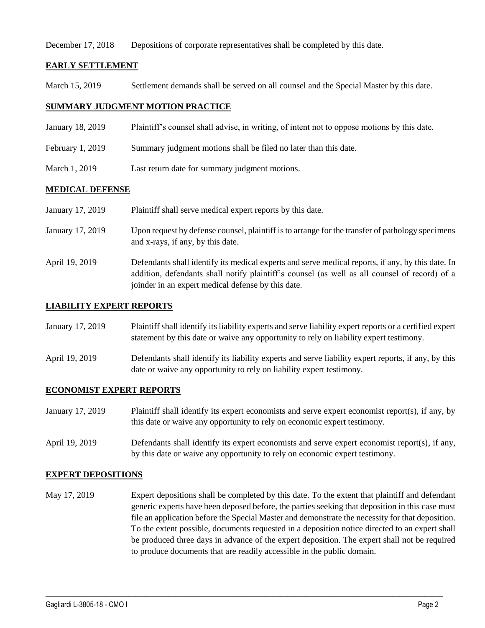December 17, 2018 Depositions of corporate representatives shall be completed by this date.

## **EARLY SETTLEMENT**

March 15, 2019 Settlement demands shall be served on all counsel and the Special Master by this date.

## **SUMMARY JUDGMENT MOTION PRACTICE**

- January 18, 2019 Plaintiff's counsel shall advise, in writing, of intent not to oppose motions by this date.
- February 1, 2019 Summary judgment motions shall be filed no later than this date.
- March 1, 2019 Last return date for summary judgment motions.

## **MEDICAL DEFENSE**

| January 17, 2019 | Plaintiff shall serve medical expert reports by this date.                                                                                                                                                                                               |
|------------------|----------------------------------------------------------------------------------------------------------------------------------------------------------------------------------------------------------------------------------------------------------|
| January 17, 2019 | Upon request by defense counsel, plaintiff is to arrange for the transfer of pathology specimens<br>and x-rays, if any, by this date.                                                                                                                    |
| April 19, 2019   | Defendants shall identify its medical experts and serve medical reports, if any, by this date. In<br>addition, defendants shall notify plaintiff's counsel (as well as all counsel of record) of a<br>joinder in an expert medical defense by this date. |

## **LIABILITY EXPERT REPORTS**

| January 17, 2019 | Plaintiff shall identify its liability experts and serve liability expert reports or a certified expert |
|------------------|---------------------------------------------------------------------------------------------------------|
|                  | statement by this date or waive any opportunity to rely on liability expert testimony.                  |

April 19, 2019 Defendants shall identify its liability experts and serve liability expert reports, if any, by this date or waive any opportunity to rely on liability expert testimony.

## **ECONOMIST EXPERT REPORTS**

- January 17, 2019 Plaintiff shall identify its expert economists and serve expert economist report(s), if any, by this date or waive any opportunity to rely on economic expert testimony.
- April 19, 2019 Defendants shall identify its expert economists and serve expert economist report(s), if any, by this date or waive any opportunity to rely on economic expert testimony.

#### **EXPERT DEPOSITIONS**

May 17, 2019 Expert depositions shall be completed by this date. To the extent that plaintiff and defendant generic experts have been deposed before, the parties seeking that deposition in this case must file an application before the Special Master and demonstrate the necessity for that deposition. To the extent possible, documents requested in a deposition notice directed to an expert shall be produced three days in advance of the expert deposition. The expert shall not be required to produce documents that are readily accessible in the public domain.

 $\_$  ,  $\_$  ,  $\_$  ,  $\_$  ,  $\_$  ,  $\_$  ,  $\_$  ,  $\_$  ,  $\_$  ,  $\_$  ,  $\_$  ,  $\_$  ,  $\_$  ,  $\_$  ,  $\_$  ,  $\_$  ,  $\_$  ,  $\_$  ,  $\_$  ,  $\_$  ,  $\_$  ,  $\_$  ,  $\_$  ,  $\_$  ,  $\_$  ,  $\_$  ,  $\_$  ,  $\_$  ,  $\_$  ,  $\_$  ,  $\_$  ,  $\_$  ,  $\_$  ,  $\_$  ,  $\_$  ,  $\_$  ,  $\_$  ,